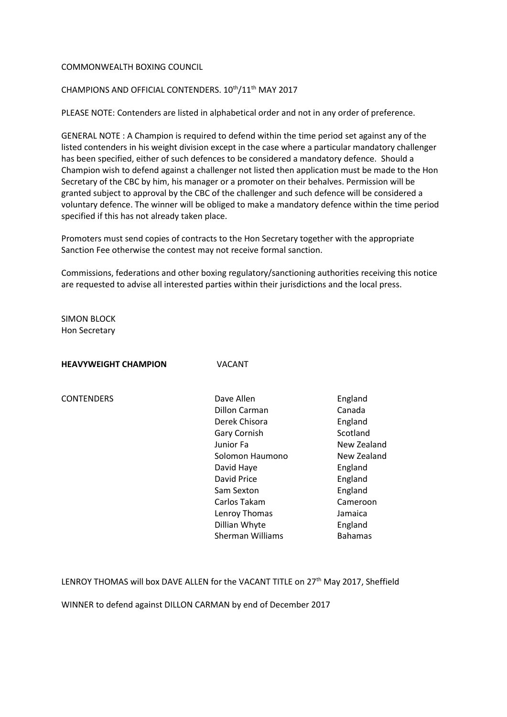### COMMONWEALTH BOXING COUNCIL

### CHAMPIONS AND OFFICIAL CONTENDERS. 10<sup>th</sup>/11<sup>th</sup> MAY 2017

PLEASE NOTE: Contenders are listed in alphabetical order and not in any order of preference.

GENERAL NOTE : A Champion is required to defend within the time period set against any of the listed contenders in his weight division except in the case where a particular mandatory challenger has been specified, either of such defences to be considered a mandatory defence. Should a Champion wish to defend against a challenger not listed then application must be made to the Hon Secretary of the CBC by him, his manager or a promoter on their behalves. Permission will be granted subject to approval by the CBC of the challenger and such defence will be considered a voluntary defence. The winner will be obliged to make a mandatory defence within the time period specified if this has not already taken place.

Promoters must send copies of contracts to the Hon Secretary together with the appropriate Sanction Fee otherwise the contest may not receive formal sanction.

Commissions, federations and other boxing regulatory/sanctioning authorities receiving this notice are requested to advise all interested parties within their jurisdictions and the local press.

SIMON BLOCK Hon Secretary

**HEAVYWEIGHT CHAMPION** VACANT

CONTENDERS Dave Allen England Dillon Carman Canada Derek Chisora **England** Gary Cornish Scotland Junior Fa New Zealand Solomon Haumono New Zealand David Haye **England** David Price England Sam Sexton England Carlos Takam Cameroon Lenroy Thomas Jamaica Dillian Whyte England Sherman Williams **Bahamas** 

LENROY THOMAS will box DAVE ALLEN for the VACANT TITLE on 27<sup>th</sup> May 2017, Sheffield

WINNER to defend against DILLON CARMAN by end of December 2017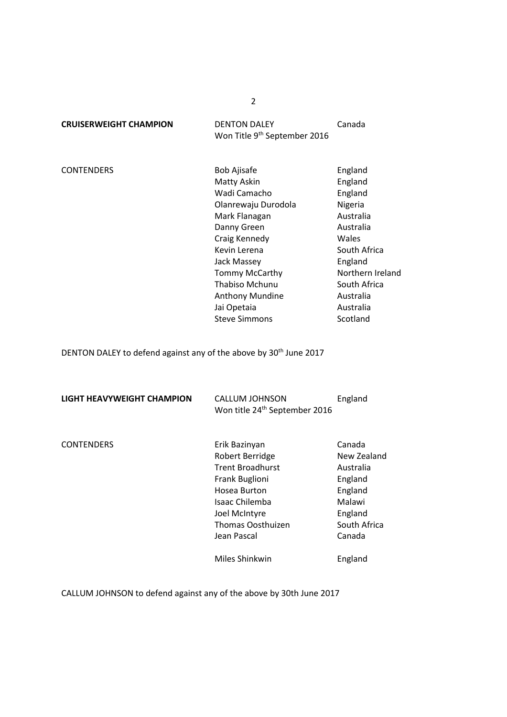**CRUISERWEIGHT CHAMPION** DENTON DALEY Canada Won Title 9<sup>th</sup> September 2016

CONTENDERS Bob Ajisafe England Matty Askin England Wadi Camacho **England** Olanrewaju Durodola Nigeria Mark Flanagan **Australia** Danny Green Australia Craig Kennedy Wales Kevin Lerena South Africa Jack Massey **England** Tommy McCarthy Northern Ireland Thabiso Mchunu South Africa<br>Anthony Mundine Australia Anthony Mundine Jai Opetaia **Australia** Steve Simmons Scotland

DENTON DALEY to defend against any of the above by 30<sup>th</sup> June 2017

| LIGHT HEAVYWEIGHT CHAMPION | <b>CALLUM JOHNSON</b><br>Won title 24 <sup>th</sup> September 2016                                                                                                                 | England                                                                                                 |
|----------------------------|------------------------------------------------------------------------------------------------------------------------------------------------------------------------------------|---------------------------------------------------------------------------------------------------------|
| <b>CONTENDERS</b>          | Erik Bazinyan<br>Robert Berridge<br><b>Trent Broadhurst</b><br><b>Frank Buglioni</b><br>Hosea Burton<br>Isaac Chilemba<br>Joel McIntyre<br><b>Thomas Oosthuizen</b><br>Jean Pascal | Canada<br>New Zealand<br>Australia<br>England<br>England<br>Malawi<br>England<br>South Africa<br>Canada |
|                            | Miles Shinkwin                                                                                                                                                                     | England                                                                                                 |

CALLUM JOHNSON to defend against any of the above by 30th June 2017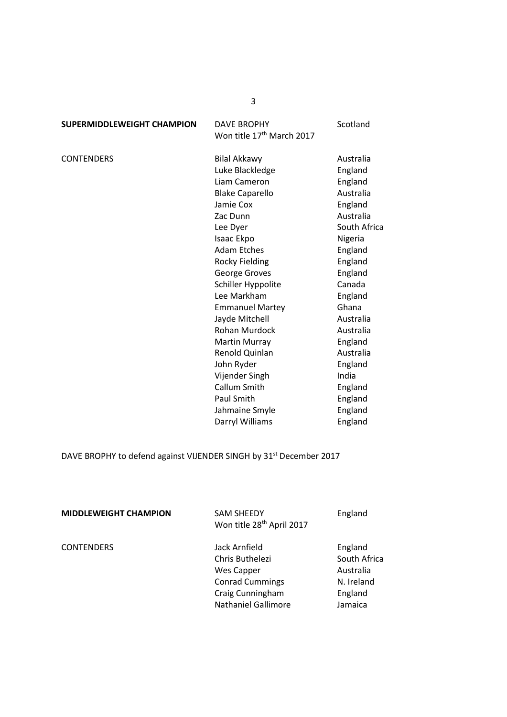|--|

**DAVE BROPHY** Scotland<br>
Won title 17<sup>th</sup> March 2017 Won title 17<sup>th</sup> March 2017

3

| <b>CONTENDERS</b> | <b>Bilal Akkawy</b>    | Australia    |
|-------------------|------------------------|--------------|
|                   | Luke Blackledge        | England      |
|                   | Liam Cameron           | England      |
|                   | <b>Blake Caparello</b> | Australia    |
|                   | Jamie Cox              | England      |
|                   | Zac Dunn               | Australia    |
|                   | Lee Dyer               | South Africa |
|                   | Isaac Ekpo             | Nigeria      |
|                   | <b>Adam Etches</b>     | England      |
|                   | <b>Rocky Fielding</b>  | England      |
|                   | George Groves          | England      |
|                   | Schiller Hyppolite     | Canada       |
|                   | Lee Markham            | England      |
|                   | <b>Emmanuel Martey</b> | Ghana        |
|                   | Jayde Mitchell         | Australia    |
|                   | <b>Rohan Murdock</b>   | Australia    |
|                   | Martin Murray          | England      |
|                   | Renold Quinlan         | Australia    |
|                   | John Ryder             | England      |
|                   | Vijender Singh         | India        |
|                   | Callum Smith           | England      |
|                   | Paul Smith             | England      |
|                   | Jahmaine Smyle         | England      |
|                   | Darryl Williams        | England      |

# DAVE BROPHY to defend against VIJENDER SINGH by 31<sup>st</sup> December 2017

| <b>MIDDLEWEIGHT CHAMPION</b> | <b>SAM SHEEDY</b><br>Won title 28 <sup>th</sup> April 2017                                                                 | England                                                                  |
|------------------------------|----------------------------------------------------------------------------------------------------------------------------|--------------------------------------------------------------------------|
| <b>CONTENDERS</b>            | Jack Arnfield<br>Chris Buthelezi<br>Wes Capper<br><b>Conrad Cummings</b><br>Craig Cunningham<br><b>Nathaniel Gallimore</b> | England<br>South Africa<br>Australia<br>N. Ireland<br>England<br>Jamaica |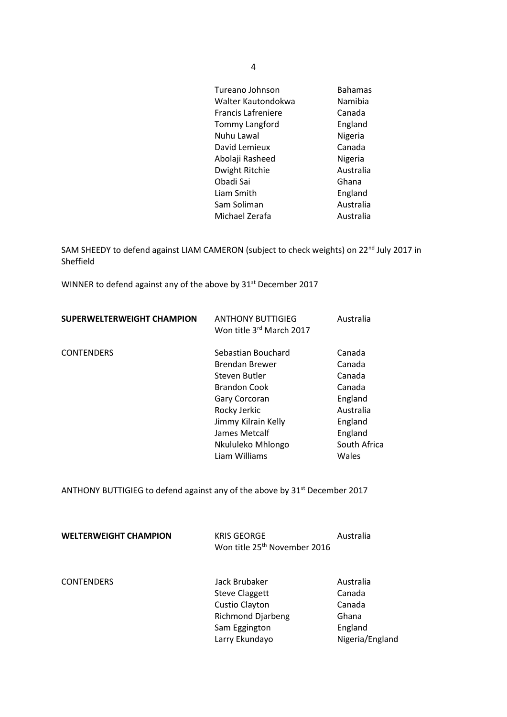| Tureano Johnson    | <b>Bahamas</b> |
|--------------------|----------------|
| Walter Kautondokwa | Namibia        |
| Francis Lafreniere | Canada         |
| Tommy Langford     | England        |
| Nuhu Lawal         | Nigeria        |
| David Lemieux      | Canada         |
| Abolaji Rasheed    | Nigeria        |
| Dwight Ritchie     | Australia      |
| Obadi Sai          | Ghana          |
| Liam Smith         | England        |
| Sam Soliman        | Australia      |
| Michael Zerafa     | Australia      |

SAM SHEEDY to defend against LIAM CAMERON (subject to check weights) on 22<sup>nd</sup> July 2017 in Sheffield

WINNER to defend against any of the above by 31<sup>st</sup> December 2017

| <b>ANTHONY BUTTIGIEG</b><br>Won title 3rd March 2017 | Australia    |
|------------------------------------------------------|--------------|
| Sebastian Bouchard                                   | Canada       |
| Brendan Brewer                                       | Canada       |
| Steven Butler                                        | Canada       |
| <b>Brandon Cook</b>                                  | Canada       |
| Gary Corcoran                                        | England      |
| Rocky Jerkic                                         | Australia    |
| Jimmy Kilrain Kelly                                  | England      |
| James Metcalf                                        | England      |
| Nkululeko Mhlongo                                    | South Africa |
| Liam Williams                                        | Wales        |
|                                                      |              |

ANTHONY BUTTIGIEG to defend against any of the above by  $31<sup>st</sup>$  December 2017

| <b>WELTERWEIGHT CHAMPION</b> | <b>KRIS GEORGE</b><br>Won title 25 <sup>th</sup> November 2016                                                          | Australia                                                            |
|------------------------------|-------------------------------------------------------------------------------------------------------------------------|----------------------------------------------------------------------|
| <b>CONTENDERS</b>            | Jack Brubaker<br><b>Steve Claggett</b><br>Custio Clayton<br><b>Richmond Djarbeng</b><br>Sam Eggington<br>Larry Ekundayo | Australia<br>Canada<br>Canada<br>Ghana<br>England<br>Nigeria/England |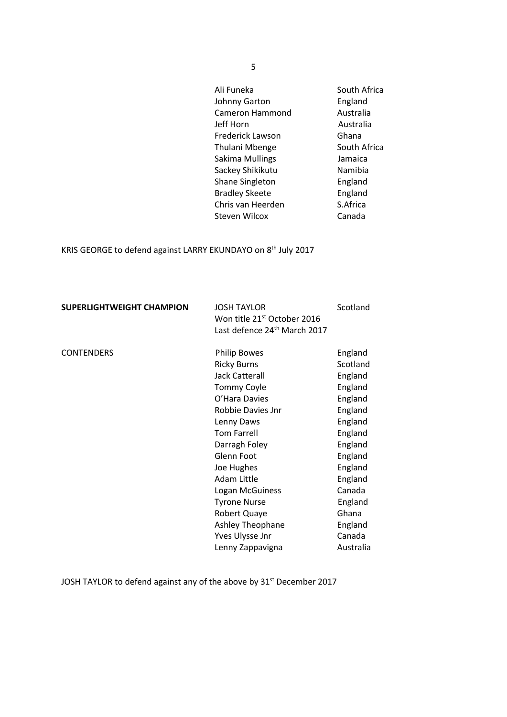| England<br>Johnny Garton<br>Cameron Hammond<br>Australia<br>Jeff Horn<br>Australia<br>Frederick Lawson<br>Ghana<br>Thulani Mbenge<br>Sakima Mullings<br>Jamaica<br>Sackey Shikikutu<br>Namibia<br>Shane Singleton<br>England<br>England<br><b>Bradley Skeete</b><br>Chris van Heerden<br>S.Africa<br>Canada<br>Steven Wilcox | Ali Funeka | South Africa |
|------------------------------------------------------------------------------------------------------------------------------------------------------------------------------------------------------------------------------------------------------------------------------------------------------------------------------|------------|--------------|
|                                                                                                                                                                                                                                                                                                                              |            |              |
|                                                                                                                                                                                                                                                                                                                              |            |              |
|                                                                                                                                                                                                                                                                                                                              |            |              |
|                                                                                                                                                                                                                                                                                                                              |            |              |
|                                                                                                                                                                                                                                                                                                                              |            | South Africa |
|                                                                                                                                                                                                                                                                                                                              |            |              |
|                                                                                                                                                                                                                                                                                                                              |            |              |
|                                                                                                                                                                                                                                                                                                                              |            |              |
|                                                                                                                                                                                                                                                                                                                              |            |              |
|                                                                                                                                                                                                                                                                                                                              |            |              |
|                                                                                                                                                                                                                                                                                                                              |            |              |

KRIS GEORGE to defend against LARRY EKUNDAYO on 8<sup>th</sup> July 2017

| <b>SUPERLIGHTWEIGHT CHAMPION</b> | <b>JOSH TAYLOR</b><br>Won title 21 <sup>st</sup> October 2016<br>Last defence 24 <sup>th</sup> March 2017 | Scotland  |
|----------------------------------|-----------------------------------------------------------------------------------------------------------|-----------|
| <b>CONTENDERS</b>                | <b>Philip Bowes</b>                                                                                       | England   |
|                                  | <b>Ricky Burns</b>                                                                                        | Scotland  |
|                                  | <b>Jack Catterall</b>                                                                                     | England   |
|                                  | <b>Tommy Coyle</b>                                                                                        | England   |
|                                  | O'Hara Davies                                                                                             | England   |
|                                  | Robbie Davies Jnr                                                                                         | England   |
|                                  | Lenny Daws                                                                                                | England   |
|                                  | <b>Tom Farrell</b>                                                                                        | England   |
|                                  | Darragh Foley                                                                                             | England   |
|                                  | Glenn Foot                                                                                                | England   |
|                                  | Joe Hughes                                                                                                | England   |
|                                  | <b>Adam Little</b>                                                                                        | England   |
|                                  | Logan McGuiness                                                                                           | Canada    |
|                                  | <b>Tyrone Nurse</b>                                                                                       | England   |
|                                  | <b>Robert Quaye</b>                                                                                       | Ghana     |
|                                  | Ashley Theophane                                                                                          | England   |
|                                  | Yves Ulysse Jnr                                                                                           | Canada    |
|                                  | Lenny Zappavigna                                                                                          | Australia |

JOSH TAYLOR to defend against any of the above by 31<sup>st</sup> December 2017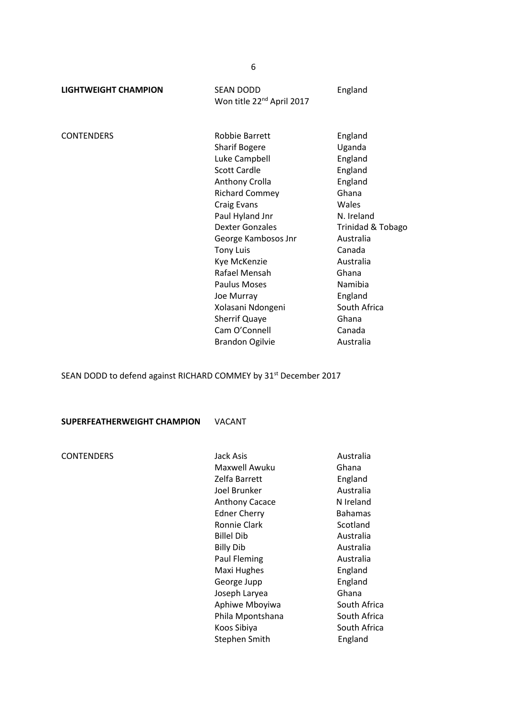| <b>LIGHTWEIGHT CHAMPION</b> | <b>SEAN DODD</b><br>Won title 22 <sup>nd</sup> April 2017 | England           |
|-----------------------------|-----------------------------------------------------------|-------------------|
| <b>CONTENDERS</b>           | Robbie Barrett<br><b>Sharif Bogere</b>                    | England<br>Uganda |

Sharif Bogere **Communist Constructs** Uganda Luke Campbell **England** Scott Cardle **England** Anthony Crolla **England** Richard Commey Ghana Craig Evans Wales Paul Hyland Jnr N. Ireland Dexter Gonzales Trinidad & Tobago George Kambosos Jnr Australia Tony Luis Canada Kye McKenzie **Australia** Rafael Mensah Ghana Paulus Moses Namibia Joe Murray England Xolasani Ndongeni South Africa Sherrif Quaye Ghana Cam O'Connell Canada Brandon Ogilvie **Australia** 

SEAN DODD to defend against RICHARD COMMEY by 31<sup>st</sup> December 2017

**SUPERFEATHERWEIGHT CHAMPION** VACANT

CONTENDERS Jack Asis Australia Maxwell Awuku Ghana Zelfa Barrett England Joel Brunker **Australia** Anthony Cacace N Ireland Edner Cherry Bahamas Ronnie Clark Scotland Billel Dib Australia Billy Dib Australia Paul Fleming **Australia** Maxi Hughes **England** George Jupp **England** Joseph Laryea Ghana Aphiwe Mboyiwa South Africa Phila Mpontshana South Africa Koos Sibiya South Africa Stephen Smith England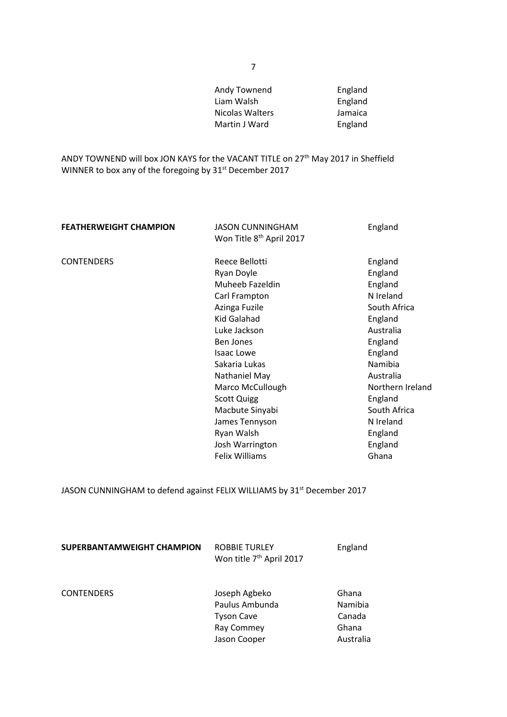| Andy Townend    | England |
|-----------------|---------|
| Liam Walsh      | England |
| Nicolas Walters | Jamaica |
| Martin J Ward   | England |

ANDY TOWNEND will box JON KAYS for the VACANT TITLE on 27th May 2017 in Sheffield WINNER to box any of the foregoing by 31<sup>st</sup> December 2017

| <b>FEATHERWEIGHT CHAMPION</b> | <b>JASON CUNNINGHAM</b>              | England          |
|-------------------------------|--------------------------------------|------------------|
|                               | Won Title 8 <sup>th</sup> April 2017 |                  |
| <b>CONTENDERS</b>             | Reece Bellotti                       | England          |
|                               | Ryan Doyle                           | England          |
|                               | Muheeb Fazeldin                      | England          |
|                               | Carl Frampton                        | N Ireland        |
|                               | Azinga Fuzile                        | South Africa     |
|                               | Kid Galahad                          | England          |
|                               | Luke Jackson                         | Australia        |
|                               | Ben Jones                            | England          |
|                               | <b>Isaac Lowe</b>                    | England          |
|                               | Sakaria Lukas                        | Namibia          |
|                               | Nathaniel May                        | Australia        |
|                               | Marco McCullough                     | Northern Ireland |
|                               | <b>Scott Quigg</b>                   | England          |
|                               | Macbute Sinyabi                      | South Africa     |
|                               | James Tennyson                       | N Ireland        |
|                               | Ryan Walsh                           | England          |
|                               | Josh Warrington                      | England          |
|                               | Felix Williams                       | Ghana            |

JASON CUNNINGHAM to defend against FELIX WILLIAMS by 31<sup>st</sup> December 2017

| SUPERBANTAMWEIGHT CHAMPION | <b>ROBBIE TURLEY</b><br>Won title 7 <sup>th</sup> April 2017                       | England                                          |
|----------------------------|------------------------------------------------------------------------------------|--------------------------------------------------|
| <b>CONTENDERS</b>          | Joseph Agbeko<br>Paulus Ambunda<br><b>Tyson Cave</b><br>Ray Commey<br>Jason Cooper | Ghana<br>Namibia<br>Canada<br>Ghana<br>Australia |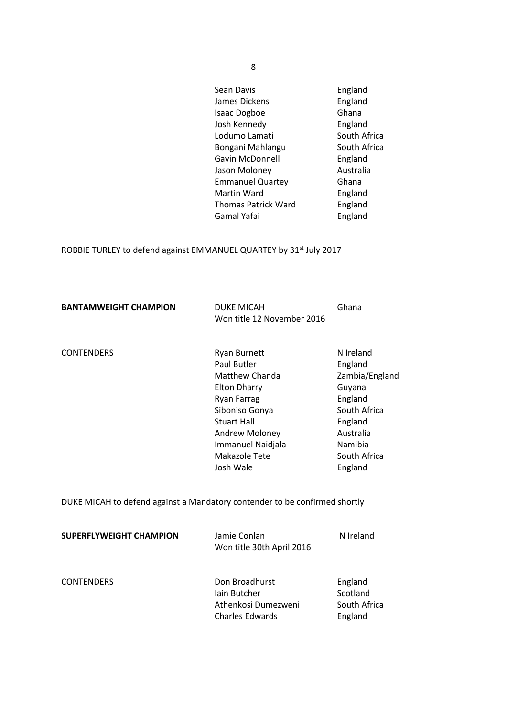| Sean Davis                 | England      |
|----------------------------|--------------|
| James Dickens              | England      |
| <b>Isaac Dogboe</b>        | Ghana        |
| Josh Kennedy               | England      |
| Lodumo Lamati              | South Africa |
| Bongani Mahlangu           | South Africa |
| <b>Gavin McDonnell</b>     | England      |
| Jason Moloney              | Australia    |
| <b>Emmanuel Quartey</b>    | Ghana        |
| Martin Ward                | England      |
| <b>Thomas Patrick Ward</b> | England      |
| Gamal Yafai                | England      |
|                            |              |

# ROBBIE TURLEY to defend against EMMANUEL QUARTEY by 31st July 2017

| <b>BANTAMWEIGHT CHAMPION</b>                                               | <b>DUKE MICAH</b><br>Won title 12 November 2016                                                                                                                                                                | Ghana                                                                                                                                     |
|----------------------------------------------------------------------------|----------------------------------------------------------------------------------------------------------------------------------------------------------------------------------------------------------------|-------------------------------------------------------------------------------------------------------------------------------------------|
| <b>CONTENDERS</b>                                                          | <b>Ryan Burnett</b><br>Paul Butler<br>Matthew Chanda<br><b>Elton Dharry</b><br><b>Ryan Farrag</b><br>Siboniso Gonya<br><b>Stuart Hall</b><br>Andrew Moloney<br>Immanuel Naidjala<br>Makazole Tete<br>Josh Wale | N Ireland<br>England<br>Zambia/England<br>Guyana<br>England<br>South Africa<br>England<br>Australia<br>Namibia<br>South Africa<br>England |
| DUKE MICAH to defend against a Mandatory contender to be confirmed shortly |                                                                                                                                                                                                                |                                                                                                                                           |
| <b>SUPERFLYWEIGHT CHAMPION</b>                                             | Jamie Conlan                                                                                                                                                                                                   | N Ireland                                                                                                                                 |

|                   | Won title 30th April 2016 |              |
|-------------------|---------------------------|--------------|
| <b>CONTENDERS</b> | Don Broadhurst            | England      |
|                   | Jain Butcher              | Scotland     |
|                   | Athenkosi Dumezweni       | South Africa |
|                   | <b>Charles Edwards</b>    | England      |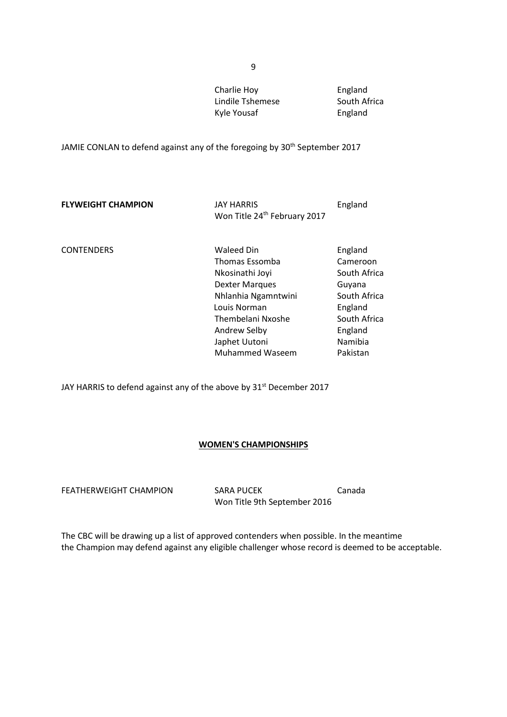Charlie Hoy **England** Lindile Tshemese South Africa Kyle Yousaf **England** 

JAMIE CONLAN to defend against any of the foregoing by 30<sup>th</sup> September 2017

**FLYWEIGHT CHAMPION** JAY HARRIS England Won Title 24<sup>th</sup> February 2017

CONTENDERS Waleed Din England Thomas Essomba Cameroon Nkosinathi Joyi South Africa Dexter Marques Guyana Nhlanhia Ngamntwini South Africa Louis Norman **England** Thembelani Nxoshe South Africa Andrew Selby England Japhet Uutoni Namibia Muhammed Waseem Pakistan

JAY HARRIS to defend against any of the above by 31<sup>st</sup> December 2017

### **WOMEN'S CHAMPIONSHIPS**

FEATHERWEIGHT CHAMPION SARA PUCEK Canada Won Title 9th September 2016

The CBC will be drawing up a list of approved contenders when possible. In the meantime the Champion may defend against any eligible challenger whose record is deemed to be acceptable.